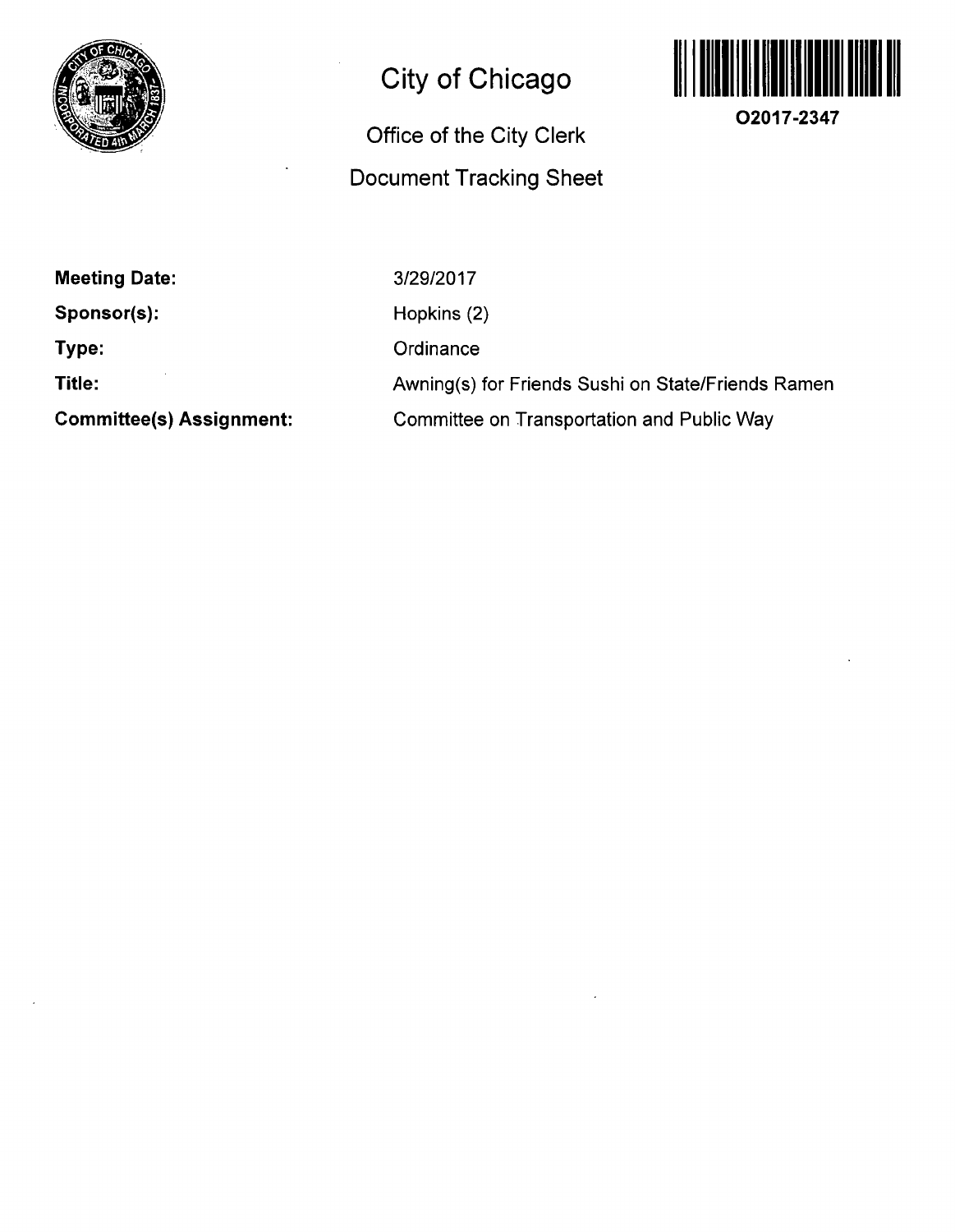

# **City of Chicago**

## **Office of the City Clerk Document Tracking Sheet**



**O2017-2347** 

**Meeting Date:** 

**Sponsor(s):** 

**Type:** 

**Title:** 

**Committee(s) Assignment:** 

3/29/2017 Hopkins (2) **Ordinance** Awning(s) for Friends Sushi on State/Friends Ramen Committee on Transportation and Public Way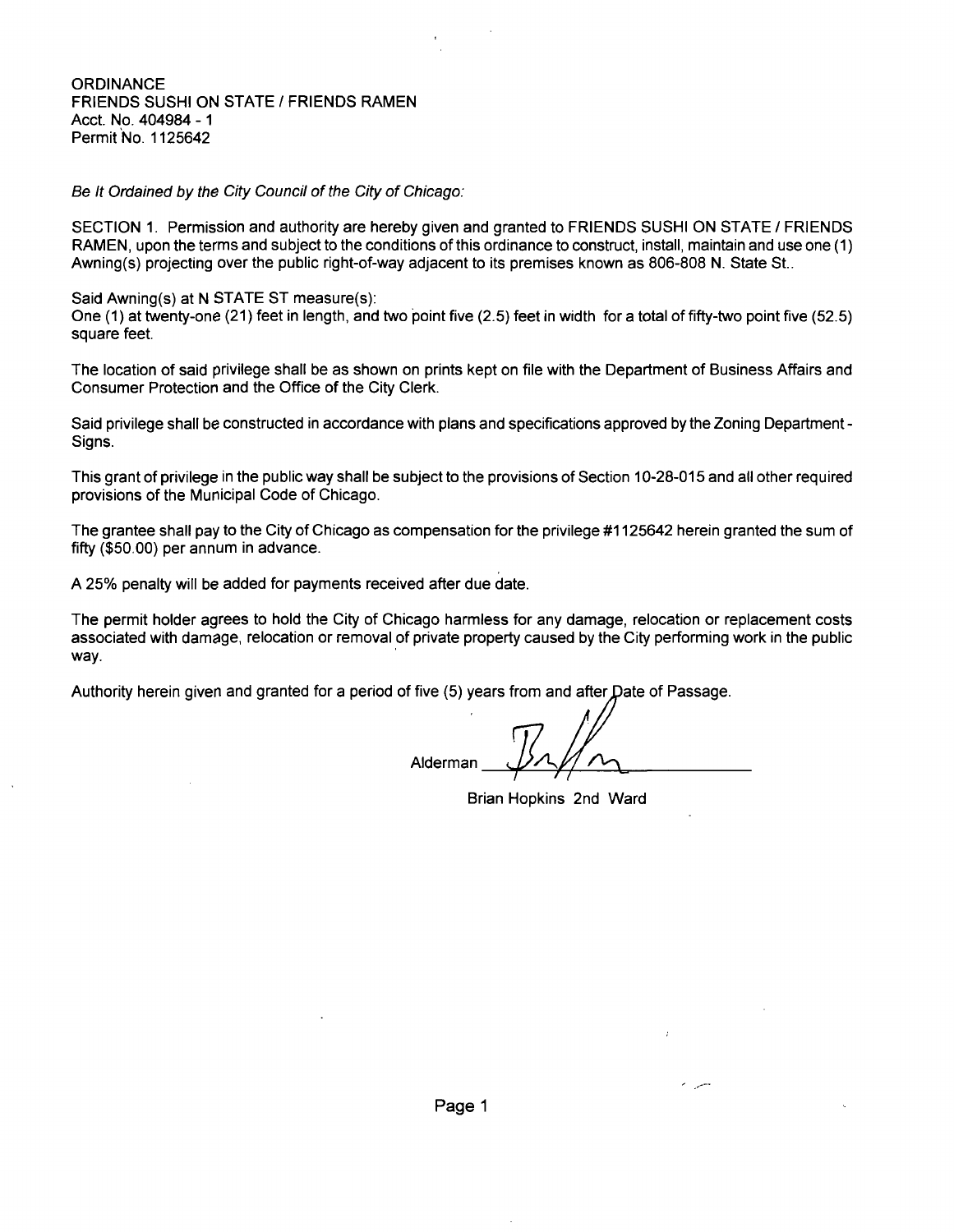#### **ORDINANCE** FRIENDS SUSHI ON STATE / FRIENDS RAMEN Acct. No. 404984 - 1 Permit No. 1125642

Se It Ordained by the City Council of the City of Chicago:

SECTION 1. Permission and authority are hereby given and granted to FRIENDS SUSHI ON STATE / FRIENDS RAMEN, upon the terms and subject to the conditions of this ordinance to construct, install, maintain and use one (1) Awning(s) projecting over the public right-of-way adjacent to its premises known as 806-808 N. State St..

Said Awning(s) at N STATE ST measure(s):

One (1) at twenty-one (21) feet in length, and two point five (2.5) feet in width for a total of fifty-two point five (52.5) square feet.

The location of said privilege shall be as shown on prints kept on file with the Department of Business Affairs and Consumer Protection and the Office of the City Clerk.

Said privilege shall be constructed in accordance with plans and specifications approved by the Zoning Department - Signs.

This grant of privilege in the public way shall be subject to the provisions of Section 10-28-015 and all other required provisions of the Municipal Code of Chicago.

The grantee shall pay to the City of Chicago as compensation for the privilege #1125642 herein granted the sum of fifty (\$50.00) per annum in advance.

A 25% penalty will be added for payments received after due date.

The permit holder agrees to hold the City of Chicago harmless for any damage, relocation or replacement costs associated with damage, relocation or removal of private property caused by the City performing work in the public way.

Authority herein given and granted for a period of five (5) years from and after Date of Passage

Alderman

Brian Hopkins 2nd Ward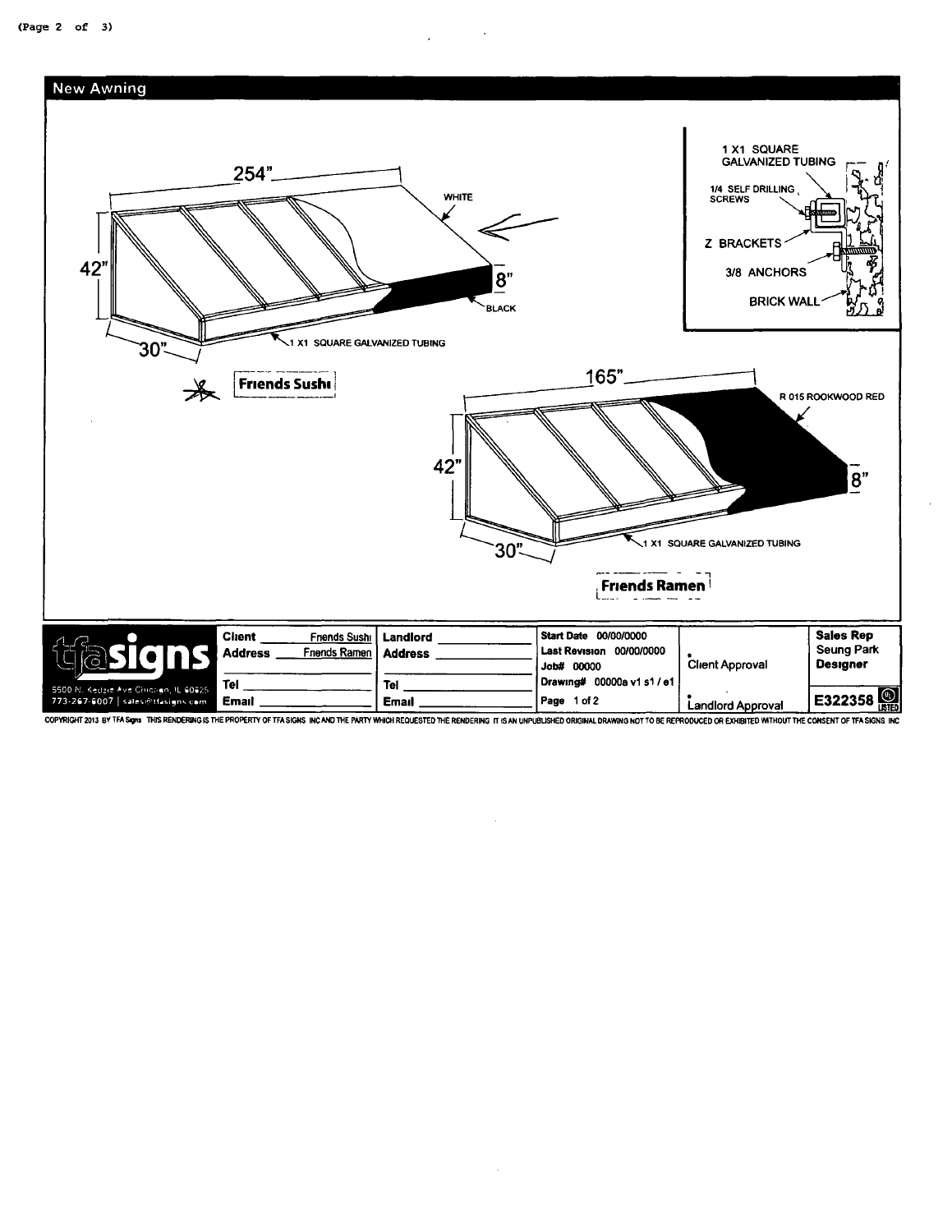

COPYRIGHT 2013 BY TFA Signs THIS RENDERING IS THE PROPERTY OF TFA SIGNS INC AND THE PARTY WHICH REQUESTED THE RENDERING IT IS AN UNPUBLISHED ORIGINAL DRAWING NOT TO BE REPRODUCED OR EXHIBITED WITHOUT THE CONSENT OF TFA SIG